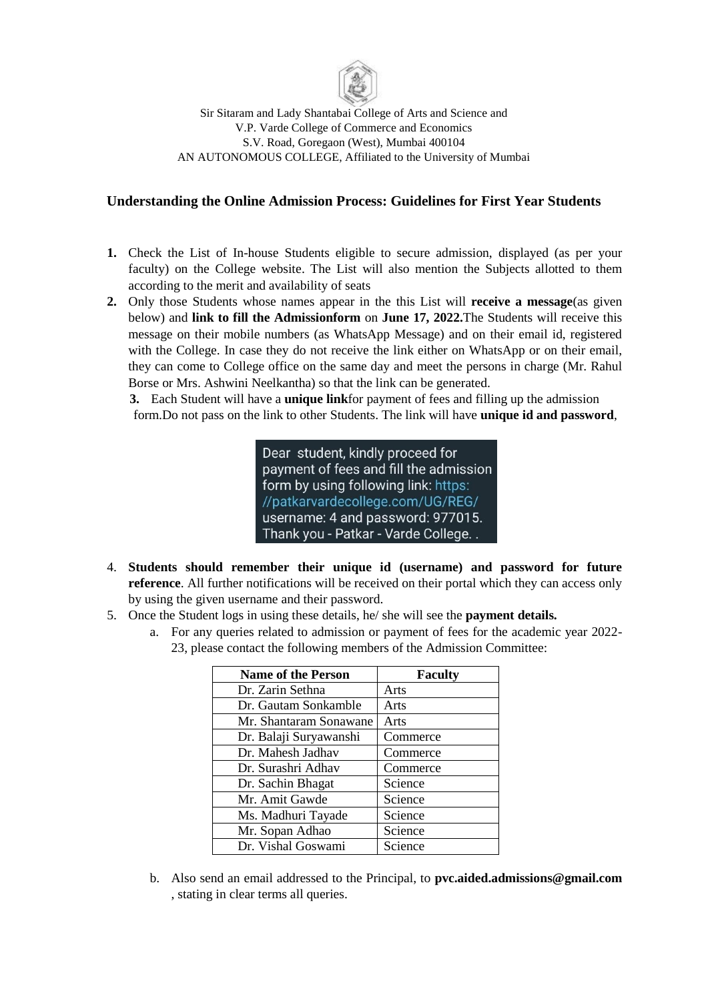

Sir Sitaram and Lady Shantabai College of Arts and Science and V.P. Varde College of Commerce and Economics S.V. Road, Goregaon (West), Mumbai 400104 AN AUTONOMOUS COLLEGE, Affiliated to the University of Mumbai

## **Understanding the Online Admission Process: Guidelines for First Year Students**

- **1.** Check the List of In-house Students eligible to secure admission, displayed (as per your faculty) on the College website. The List will also mention the Subjects allotted to them according to the merit and availability of seats
- **2.** Only those Students whose names appear in the this List will **receive a message**(as given below) and **link to fill the Admissionform** on **June 17, 2022.**The Students will receive this message on their mobile numbers (as WhatsApp Message) and on their email id, registered with the College. In case they do not receive the link either on WhatsApp or on their email, they can come to College office on the same day and meet the persons in charge (Mr. Rahul Borse or Mrs. Ashwini Neelkantha) so that the link can be generated.

**3.** Each Student will have a **unique link**for payment of fees and filling up the admission form.Do not pass on the link to other Students. The link will have **unique id and password**,

> Dear student, kindly proceed for payment of fees and fill the admission form by using following link: https: //patkarvardecollege.com/UG/REG/ username: 4 and password: 977015. Thank you - Patkar - Varde College...

- 4. **Students should remember their unique id (username) and password for future reference**. All further notifications will be received on their portal which they can access only by using the given username and their password.
- 5. Once the Student logs in using these details, he/ she will see the **payment details.**
	- a. For any queries related to admission or payment of fees for the academic year 2022- 23, please contact the following members of the Admission Committee:

| <b>Name of the Person</b> | <b>Faculty</b> |
|---------------------------|----------------|
| Dr. Zarin Sethna          | Arts           |
| Dr. Gautam Sonkamble      | Arts           |
| Mr. Shantaram Sonawane    | Arts           |
| Dr. Balaji Suryawanshi    | Commerce       |
| Dr. Mahesh Jadhav         | Commerce       |
| Dr. Surashri Adhav        | Commerce       |
| Dr. Sachin Bhagat         | Science        |
| Mr. Amit Gawde            | Science        |
| Ms. Madhuri Tayade        | Science        |
| Mr. Sopan Adhao           | Science        |
| Dr. Vishal Goswami        | Science        |

b. Also send an email addressed to the Principal, to **pvc.aided.admissions@gmail.com** , stating in clear terms all queries.